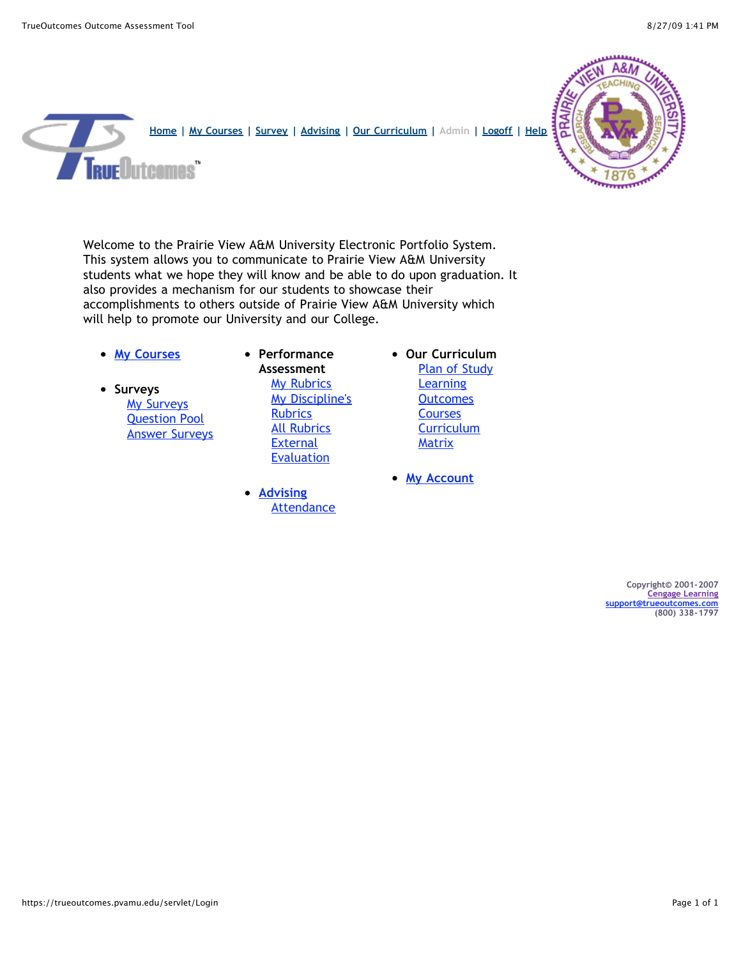

Welcome to the Prairie View A&M University Electronic Portfolio System. This system allows you to communicate to Prairie View A&M University students what we hope they will know and be able to do upon graduation. It also provides a mechanism for our students to showcase their accomplishments to others outside of Prairie View A&M University which will help to promote our University and our College.

- **[My Courses](https://trueoutcomes.pvamu.edu/servlet/CourseEdit)**
- **•** Surveys **[My Surveys](https://trueoutcomes.pvamu.edu/servlet/SurveyEdit)** [Question Pool](https://trueoutcomes.pvamu.edu/servlet/QuestionPoolEdit) [Answer Surveys](https://trueoutcomes.pvamu.edu/servlet/AnswerSurvey)

**Performance Assessment [My Rubrics](https://trueoutcomes.pvamu.edu/servlet/ExhibitEdit)** [My Discipline's](https://trueoutcomes.pvamu.edu/servlet/ExhibitEdit?justmine=N) **Rubrics** [All Rubrics](https://trueoutcomes.pvamu.edu/servlet/ExhibitEdit?justmine=N&subject=GENED) **External [Evaluation](https://trueoutcomes.pvamu.edu/servlet/EvaluateWork)** 

- **[Advising](https://trueoutcomes.pvamu.edu/servlet/AdvisingMgr)** [Attendance](https://trueoutcomes.pvamu.edu/servlet/AttendanceTracker?subject=GENED)
- **Our Curriculum** [Plan of Study](https://trueoutcomes.pvamu.edu/servlet/ViewProgramPlan) **Learning [Outcomes](https://trueoutcomes.pvamu.edu/servlet/ViewIntentionSummary) [Courses](https://trueoutcomes.pvamu.edu/servlet/ViewProgramCourses) [Curriculum](https://trueoutcomes.pvamu.edu/servlet/ProgramOutcomeCoverage) Matrix**
- **[My Account](https://trueoutcomes.pvamu.edu/servlet/SetPreference)**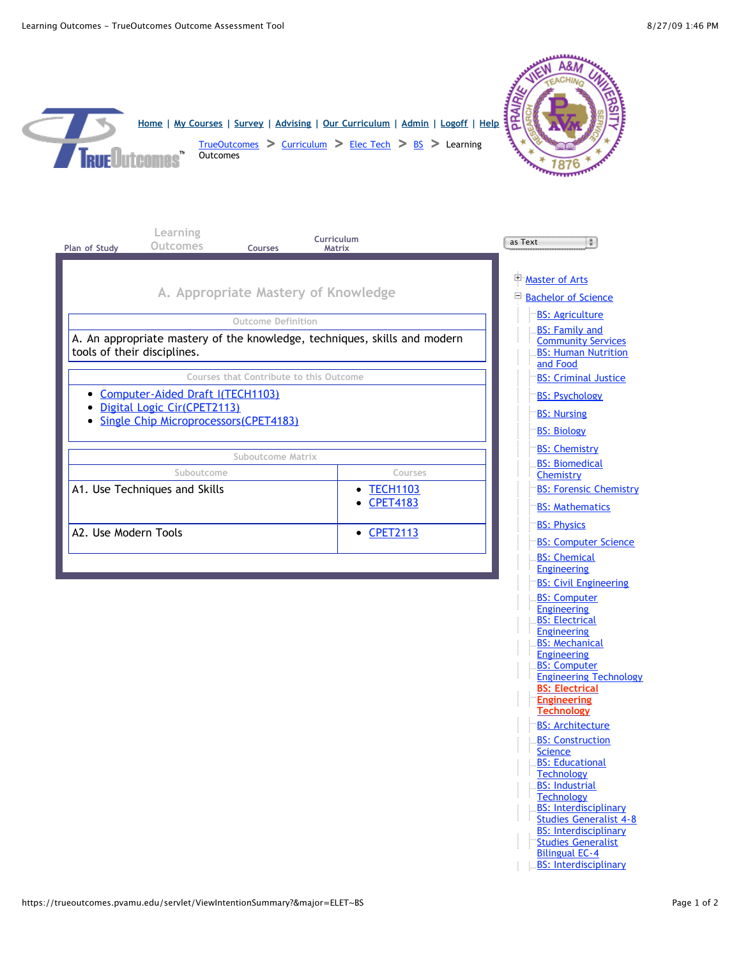$\leq$ 

| Home   My Courses   Survey   Advising   Our Curriculum   Admin   Logoff   Help<br><b>Outcomes</b><br><b>RUE Dutcomes</b>                                    | $TrueOutcomes$ > Curriculum > Elec Tech > BS > Learning |                                                                                                                                                                             |
|-------------------------------------------------------------------------------------------------------------------------------------------------------------|---------------------------------------------------------|-----------------------------------------------------------------------------------------------------------------------------------------------------------------------------|
| Learning<br>Outcomes<br>Plan of Study<br><b>Courses</b>                                                                                                     | Curriculum<br>Matrix                                    | as Text<br>41                                                                                                                                                               |
| A. Appropriate Mastery of Knowledge                                                                                                                         |                                                         | Master of Arts<br><b>Bachelor of Science</b><br><b>BS: Agriculture</b>                                                                                                      |
| <b>Outcome Definition</b><br>A. An appropriate mastery of the knowledge, techniques, skills and modern<br>tools of their disciplines.                       |                                                         | <b>BS: Family and</b><br><b>Community Services</b><br><b>BS: Human Nutrition</b><br>and Food                                                                                |
| Courses that Contribute to this Outcome<br>Computer-Aided Draft I(TECH1103)<br>Digital Logic Cir(CPET2113)<br><b>Single Chip Microprocessors (CPET4183)</b> |                                                         | <b>BS: Criminal Justice</b><br><b>BS: Psychology</b><br><b>BS: Nursing</b><br><b>BS: Biology</b>                                                                            |
| Suboutcome Matrix                                                                                                                                           |                                                         | <b>BS: Chemistry</b><br><b>BS: Biomedical</b>                                                                                                                               |
| Suboutcome<br>A1. Use Techniques and Skills                                                                                                                 | Courses<br>• TECH1103<br><b>CPET4183</b>                | Chemistry<br><b>BS: Forensic Chemistry</b><br><b>BS: Mathematics</b>                                                                                                        |
| A2. Use Modern Tools                                                                                                                                        | • CPET2113                                              | <b>BS: Physics</b><br><b>BS: Computer Science</b><br><b>BS: Chemical</b>                                                                                                    |
|                                                                                                                                                             |                                                         | <b>Engineering</b><br><b>BS: Civil Engineering</b><br><b>BS: Computer</b><br><b>Engineering</b>                                                                             |
|                                                                                                                                                             |                                                         | <b>BS: Electrical</b><br><b>Engineering</b><br><b>BS: Mechanical</b><br><b>Engineering</b><br><b>BS: Computer</b><br><b>Engineering Technology</b><br><b>BS: Electrical</b> |
|                                                                                                                                                             |                                                         | <b>Engineering</b><br><b>Technology</b><br><b>BS: Architecture</b><br><b>BS: Construction</b>                                                                               |
|                                                                                                                                                             |                                                         | <b>Science</b><br><b>BS: Educational</b><br>Technology<br><b>BS: Industrial</b>                                                                                             |
|                                                                                                                                                             |                                                         | Technology<br><b>BS: Interdisciplinary</b><br><b>Studies Generalist 4-8</b><br><b>BS: Interdisciplinary</b><br><b>Studies Generalist</b><br><b>Bilingual EC-4</b>           |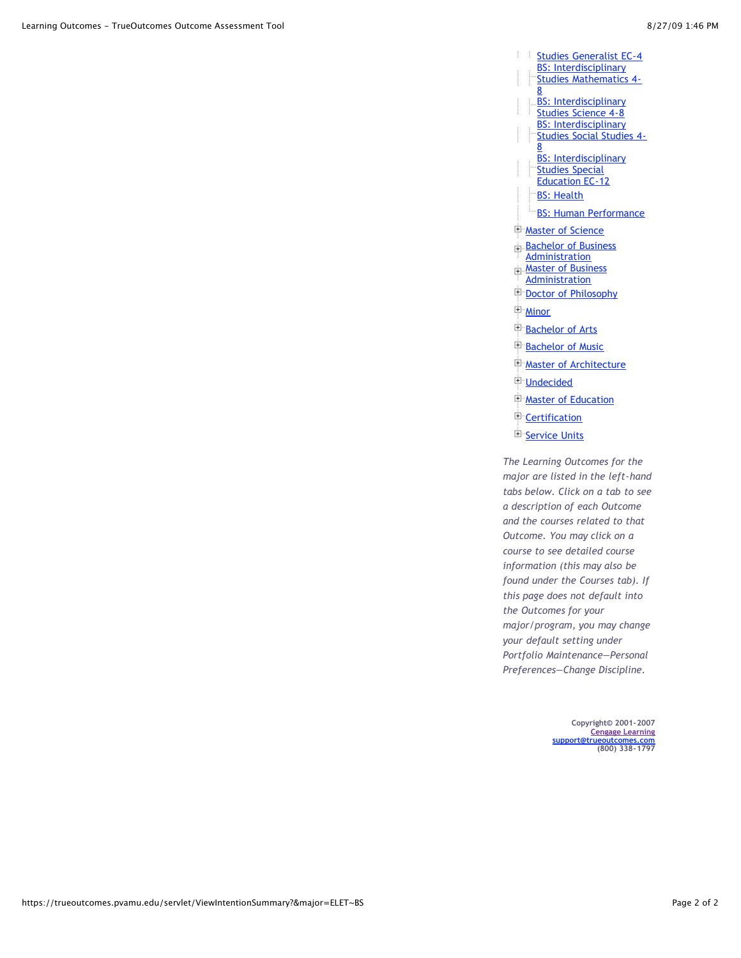- [Studies Generalist EC-4](https://trueoutcomes.pvamu.edu/servlet/ViewIntentionSummary?&major=IDSGENEC4~BS) ÷ **BS: Interdisciplinary** [Studies Mathematics 4-](https://trueoutcomes.pvamu.edu/servlet/ViewIntentionSummary?&major=IDSMATH48~BS) 8 [BS: Interdisciplinary](https://trueoutcomes.pvamu.edu/servlet/ViewIntentionSummary?&major=IDSSCI48~BS) Studies Science 4-8 BS: Interdisciplinary [Studies Social Studies 4-](https://trueoutcomes.pvamu.edu/servlet/ViewIntentionSummary?&major=IDSSOST48~BS) 8 **[BS: Interdisciplinary](https://trueoutcomes.pvamu.edu/servlet/ViewIntentionSummary?&major=IDSSPED~BS) Studies Special** Education EC-12 [BS: Health](https://trueoutcomes.pvamu.edu/servlet/ViewIntentionSummary?&major=HLTH~BS) **[BS: Human Performance](https://trueoutcomes.pvamu.edu/servlet/ViewIntentionSummary?&major=HUPF~BS) [Master of Science](javascript:return%20false) [Bachelor of Business](javascript:return%20false) Administration [Master of Business](javascript:return%20false) Administration [Doctor of Philosophy](javascript:return%20false)**
- [Minor](javascript:return%20false)
- **E** [Bachelor of Arts](javascript:return%20false)
- **[Bachelor of Music](javascript:return%20false)**
- **[Master of Architecture](javascript:return%20false)**
- [Undecided](javascript:return%20false)
- **[Master of Education](javascript:return%20false)**
- <sup>E</sup> [Certification](javascript:return%20false)
- E [Service Units](javascript:return%20false)

*The Learning Outcomes for the major are listed in the left-hand tabs below. Click on a tab to see a description of each Outcome and the courses related to that Outcome. You may click on a course to see detailed course information (this may also be found under the Courses tab). If this page does not default into the Outcomes for your major/program, you may change your default setting under Portfolio Maintenance—Personal Preferences—Change Discipline.*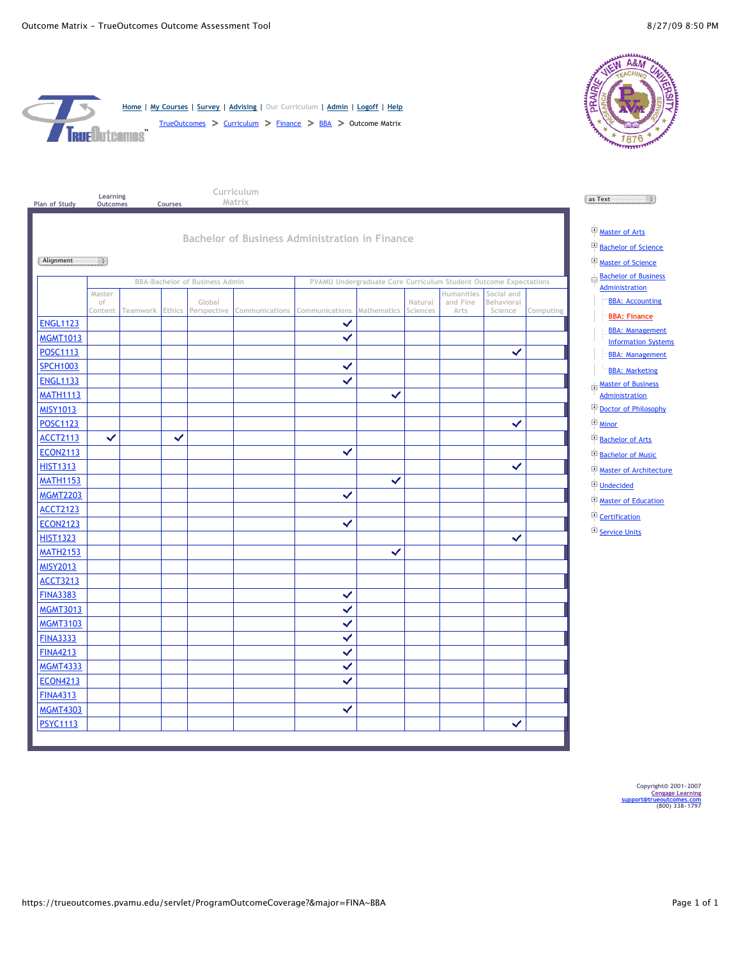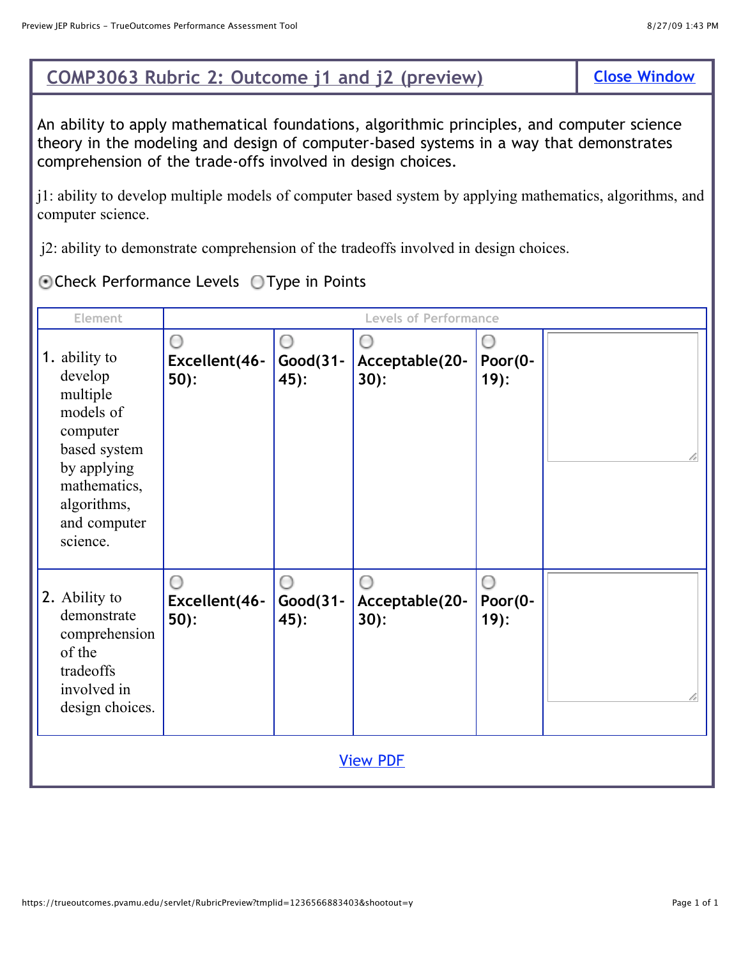## **COMP3063 Rubric 2: Outcome j1 and j2 (preview)**

An ability to apply mathematical foundations, algorithmic principles, and computer science theory in the modeling and design of computer-based systems in a way that demonstrates comprehension of the trade-offs involved in design choices.

j1: ability to develop multiple models of computer based system by applying mathematics, algorithms, and computer science.

j2: ability to demonstrate comprehension of the tradeoffs involved in design choices.

Check Performance Levels Type in Points

| Element                                                                                                                                                 |                              |                         | <b>Levels of Performance</b> |                         |  |
|---------------------------------------------------------------------------------------------------------------------------------------------------------|------------------------------|-------------------------|------------------------------|-------------------------|--|
| 1. ability to<br>develop<br>multiple<br>models of<br>computer<br>based system<br>by applying<br>mathematics,<br>algorithms,<br>and computer<br>science. | ∩<br>Excellent(46-<br>$50$ : | 0<br>Good(31-<br>$45$ : | Acceptable(20-<br>30):       | Poor(0-<br>$19)$ :      |  |
| 2. Ability to<br>demonstrate<br>comprehension<br>of the<br>tradeoffs<br>involved in<br>design choices.                                                  | Excellent(46-<br>$50$ :      | Ο<br>Good(31-<br>$45$ : | O<br>Acceptable(20-<br>30):  | ∩<br>Poor(0-<br>$19)$ : |  |
|                                                                                                                                                         |                              |                         | <b>View PDF</b>              |                         |  |

| <b>Close Window</b> |  |
|---------------------|--|
|                     |  |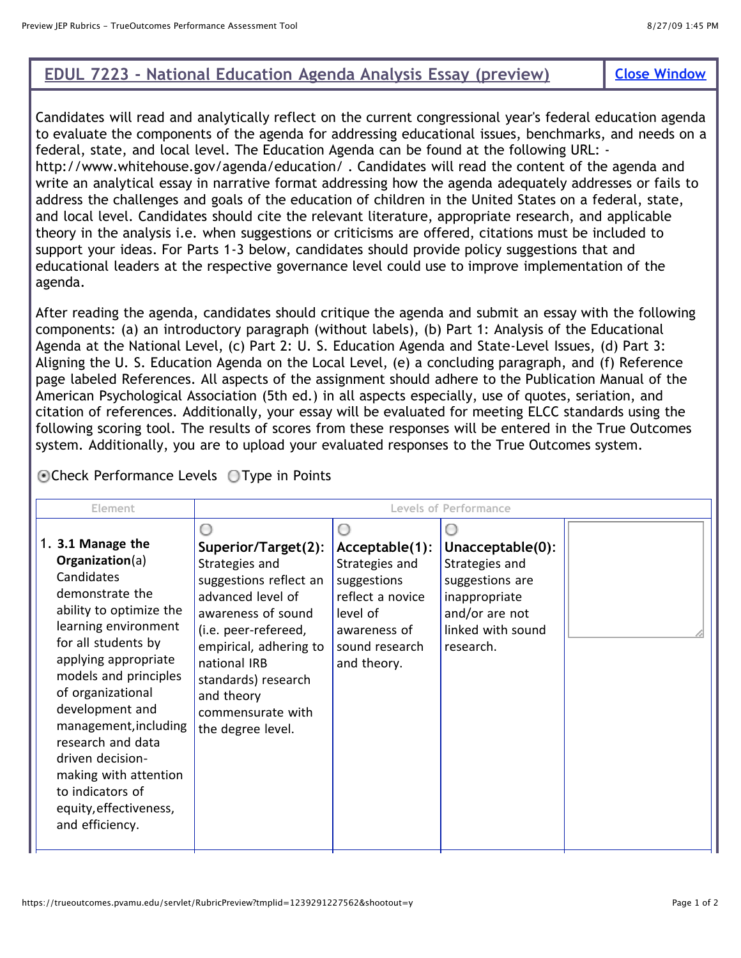## **EDUL 7223 - National Education Agenda Analysis Essay (preview) [Close Window](javascript:close())**

Candidates will read and analytically reflect on the current congressional year's federal education agenda to evaluate the components of the agenda for addressing educational issues, benchmarks, and needs on a federal, state, and local level. The Education Agenda can be found at the following URL: http://www.whitehouse.gov/agenda/education/ . Candidates will read the content of the agenda and write an analytical essay in narrative format addressing how the agenda adequately addresses or fails to address the challenges and goals of the education of children in the United States on a federal, state, and local level. Candidates should cite the relevant literature, appropriate research, and applicable theory in the analysis i.e. when suggestions or criticisms are offered, citations must be included to support your ideas. For Parts 1-3 below, candidates should provide policy suggestions that and educational leaders at the respective governance level could use to improve implementation of the agenda.

After reading the agenda, candidates should critique the agenda and submit an essay with the following components: (a) an introductory paragraph (without labels), (b) Part 1: Analysis of the Educational Agenda at the National Level, (c) Part 2: U. S. Education Agenda and State-Level Issues, (d) Part 3: Aligning the U. S. Education Agenda on the Local Level, (e) a concluding paragraph, and (f) Reference page labeled References. All aspects of the assignment should adhere to the Publication Manual of the American Psychological Association (5th ed.) in all aspects especially, use of quotes, seriation, and citation of references. Additionally, your essay will be evaluated for meeting ELCC standards using the following scoring tool. The results of scores from these responses will be entered in the True Outcomes system. Additionally, you are to upload your evaluated responses to the True Outcomes system.

Check Performance Levels Type in Points

| Element                                                                                                                                                                                                                                                                                                                                                                                              |                                                                                                                                                                                                                                                             |                                                                                                                                  | <b>Levels of Performance</b>                                                                                               |  |
|------------------------------------------------------------------------------------------------------------------------------------------------------------------------------------------------------------------------------------------------------------------------------------------------------------------------------------------------------------------------------------------------------|-------------------------------------------------------------------------------------------------------------------------------------------------------------------------------------------------------------------------------------------------------------|----------------------------------------------------------------------------------------------------------------------------------|----------------------------------------------------------------------------------------------------------------------------|--|
| 1. 3.1 Manage the<br>Organization(a)<br>Candidates<br>demonstrate the<br>ability to optimize the<br>learning environment<br>for all students by<br>applying appropriate<br>models and principles<br>of organizational<br>development and<br>management, including<br>research and data<br>driven decision-<br>making with attention<br>to indicators of<br>equity, effectiveness,<br>and efficiency. | Superior/Target(2):<br>Strategies and<br>suggestions reflect an<br>advanced level of<br>awareness of sound<br>(i.e. peer-refereed,<br>empirical, adhering to<br>national IRB<br>standards) research<br>and theory<br>commensurate with<br>the degree level. | Acceptable(1):<br>Strategies and<br>suggestions<br>reflect a novice<br>level of<br>awareness of<br>sound research<br>and theory. | Unacceptable(0):<br>Strategies and<br>suggestions are<br>inappropriate<br>and/or are not<br>linked with sound<br>research. |  |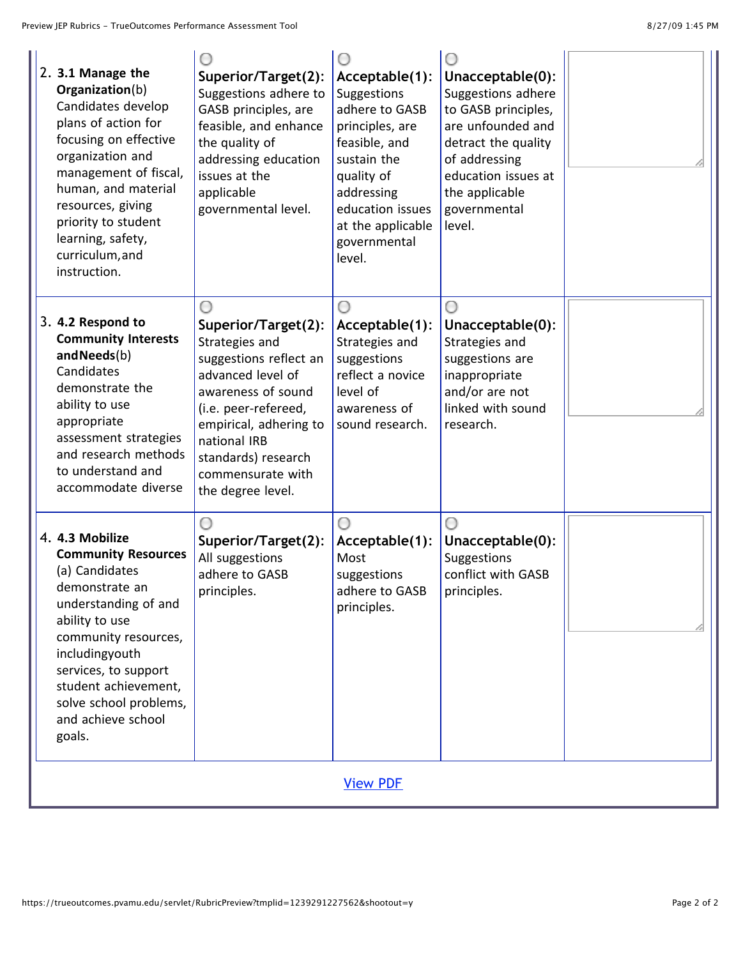| 2. 3.1 Manage the<br>Organization(b)<br>Candidates develop<br>plans of action for<br>focusing on effective<br>organization and<br>management of fiscal,<br>human, and material<br>resources, giving<br>priority to student<br>learning, safety,<br>curriculum, and<br>instruction. | Superior/Target(2):<br>Suggestions adhere to<br>GASB principles, are<br>feasible, and enhance<br>the quality of<br>addressing education<br>issues at the<br>applicable<br>governmental level.                                                 | Acceptable(1):<br>Suggestions<br>adhere to GASB<br>principles, are<br>feasible, and<br>sustain the<br>quality of<br>addressing<br>education issues<br>at the applicable<br>governmental<br>level. | Unacceptable(0):<br>Suggestions adhere<br>to GASB principles,<br>are unfounded and<br>detract the quality<br>of addressing<br>education issues at<br>the applicable<br>governmental<br>level. |  |
|------------------------------------------------------------------------------------------------------------------------------------------------------------------------------------------------------------------------------------------------------------------------------------|-----------------------------------------------------------------------------------------------------------------------------------------------------------------------------------------------------------------------------------------------|---------------------------------------------------------------------------------------------------------------------------------------------------------------------------------------------------|-----------------------------------------------------------------------------------------------------------------------------------------------------------------------------------------------|--|
| 3. 4.2 Respond to<br><b>Community Interests</b><br>and Needs(b)<br>Candidates<br>demonstrate the<br>ability to use<br>appropriate<br>assessment strategies<br>and research methods<br>to understand and<br>accommodate diverse                                                     | Superior/Target(2):<br>Strategies and<br>suggestions reflect an<br>advanced level of<br>awareness of sound<br>(i.e. peer-refereed,<br>empirical, adhering to<br>national IRB<br>standards) research<br>commensurate with<br>the degree level. | Acceptable(1):<br>Strategies and<br>suggestions<br>reflect a novice<br>level of<br>awareness of<br>sound research.                                                                                | Unacceptable(0):<br>Strategies and<br>suggestions are<br>inappropriate<br>and/or are not<br>linked with sound<br>research.                                                                    |  |
| 4. 4.3 Mobilize<br><b>Community Resources</b><br>(a) Candidates<br>demonstrate an<br>understanding of and<br>ability to use<br>community resources,<br>includingyouth<br>services, to support<br>student achievement,<br>solve school problems,<br>and achieve school<br>goals.    | Superior/Target(2):<br>All suggestions<br>adhere to GASB<br>principles.                                                                                                                                                                       | Acceptable(1):<br>Most<br>suggestions<br>adhere to GASB<br>principles.                                                                                                                            | Unacceptable(0):<br>Suggestions<br>conflict with GASB<br>principles.                                                                                                                          |  |
|                                                                                                                                                                                                                                                                                    |                                                                                                                                                                                                                                               | <b>View PDF</b>                                                                                                                                                                                   |                                                                                                                                                                                               |  |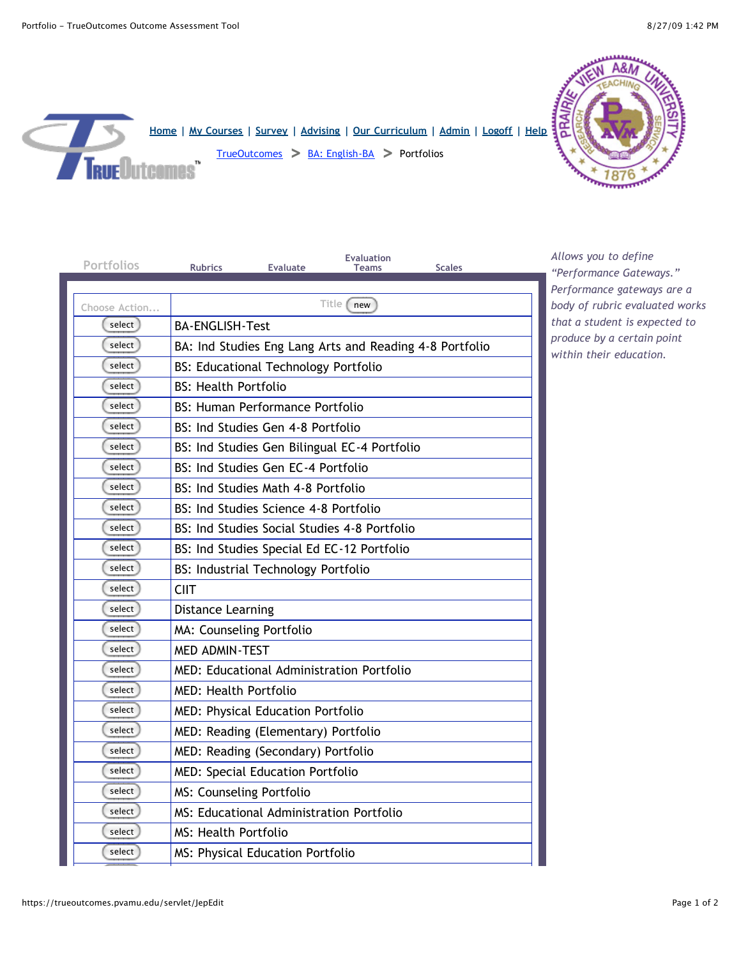

| Portfolios    | <b>Evaluation</b><br><b>Rubrics</b><br><b>Evaluate</b><br><b>Scales</b><br><b>Teams</b> |
|---------------|-----------------------------------------------------------------------------------------|
|               |                                                                                         |
| Choose Action | Title [new                                                                              |
| select        | <b>BA-ENGLISH-Test</b>                                                                  |
| select        | BA: Ind Studies Eng Lang Arts and Reading 4-8 Portfolio                                 |
| select        | <b>BS: Educational Technology Portfolio</b>                                             |
| select        | <b>BS: Health Portfolio</b>                                                             |
| select        | <b>BS: Human Performance Portfolio</b>                                                  |
| select        | BS: Ind Studies Gen 4-8 Portfolio                                                       |
| select        | BS: Ind Studies Gen Bilingual EC-4 Portfolio                                            |
| select        | BS: Ind Studies Gen EC-4 Portfolio                                                      |
| select        | BS: Ind Studies Math 4-8 Portfolio                                                      |
| select        | BS: Ind Studies Science 4-8 Portfolio                                                   |
| select        | BS: Ind Studies Social Studies 4-8 Portfolio                                            |
| select        | BS: Ind Studies Special Ed EC-12 Portfolio                                              |
| select        | <b>BS: Industrial Technology Portfolio</b>                                              |
| select        | <b>CIIT</b>                                                                             |
| select        | <b>Distance Learning</b>                                                                |
| select        | MA: Counseling Portfolio                                                                |
| select        | <b>MED ADMIN-TEST</b>                                                                   |
| select        | MED: Educational Administration Portfolio                                               |
| select        | MED: Health Portfolio                                                                   |
| select        | MED: Physical Education Portfolio                                                       |
| select        | MED: Reading (Elementary) Portfolio                                                     |
| select        | MED: Reading (Secondary) Portfolio                                                      |
| select        | <b>MED: Special Education Portfolio</b>                                                 |
| select        | MS: Counseling Portfolio                                                                |
| select        | <b>MS: Educational Administration Portfolio</b>                                         |
| select        | MS: Health Portfolio                                                                    |
| select        | MS: Physical Education Portfolio                                                        |

*Allows you to define "Performance Gateways." Performance gateways are a body of rubric evaluated works that a student is expected to produce by a certain point within their education.*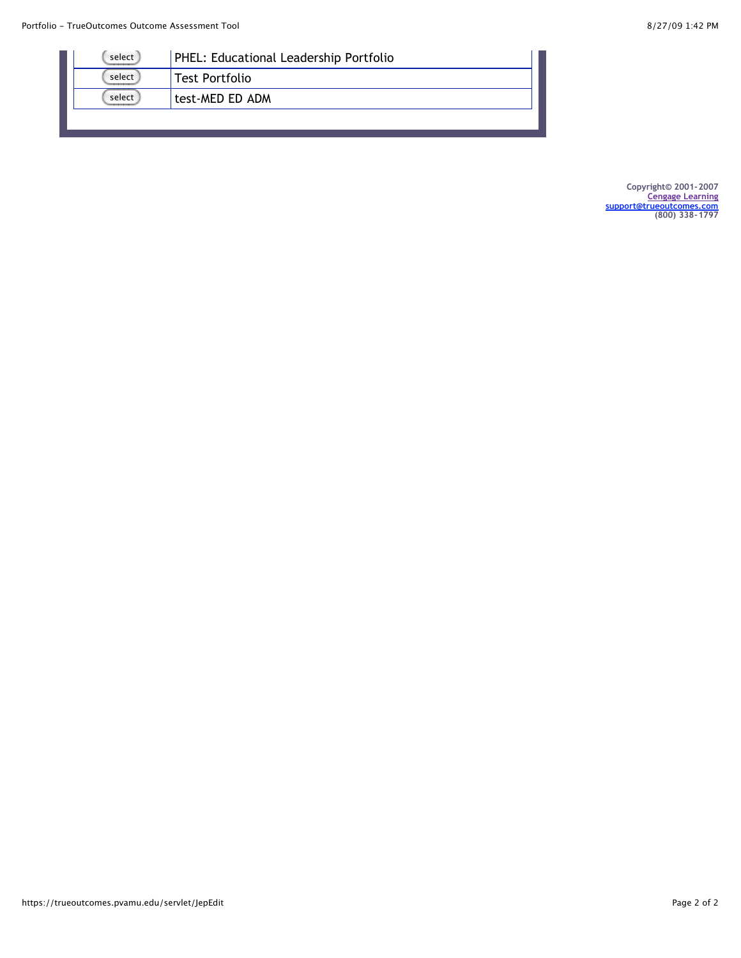| select | PHEL: Educational Leadership Portfolio |
|--------|----------------------------------------|
| select | Test Portfolio                         |
| select | test-MED ED ADM                        |
|        |                                        |